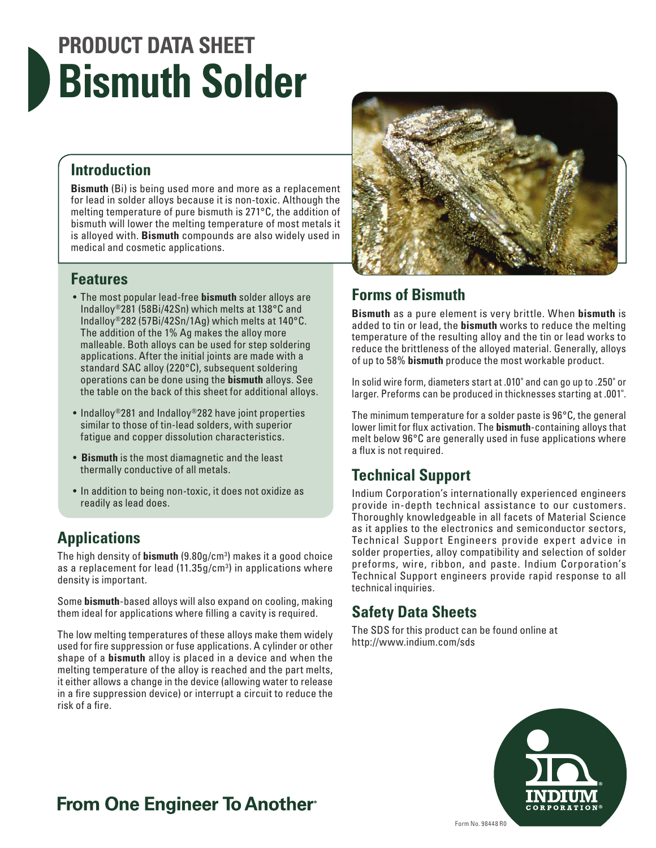# **PRODUCT DATA SHEET Bismuth Solder**

#### **Introduction**

**Bismuth** (Bi) is being used more and more as a replacement for lead in solder alloys because it is non-toxic. Although the melting temperature of pure bismuth is 271°C, the addition of bismuth will lower the melting temperature of most metals it is alloyed with. **Bismuth** compounds are also widely used in medical and cosmetic applications.

#### **Features**

- The most popular lead-free **bismuth** solder alloys are Indalloy®281 (58Bi/42Sn) which melts at 138°C and Indalloy®282 (57Bi/42Sn/1Ag) which melts at 140°C. The addition of the 1% Ag makes the alloy more malleable. Both alloys can be used for step soldering applications. After the initial joints are made with a standard SAC alloy (220°C), subsequent soldering operations can be done using the **bismuth** alloys. See the table on the back of this sheet for additional alloys.
- Indalloy®281 and Indalloy®282 have joint properties similar to those of tin-lead solders, with superior fatigue and copper dissolution characteristics.
- **Bismuth** is the most diamagnetic and the least thermally conductive of all metals.
- In addition to being non-toxic, it does not oxidize as readily as lead does.

### **Applications**

The high density of **bismuth** (9.80g/cm3 ) makes it a good choice as a replacement for lead (11.35g/cm<sup>3</sup>) in applications where density is important.

Some **bismuth**-based alloys will also expand on cooling, making them ideal for applications where filling a cavity is required.

The low melting temperatures of these alloys make them widely used for fire suppression or fuse applications. A cylinder or other shape of a **bismuth** alloy is placed in a device and when the melting temperature of the alloy is reached and the part melts, it either allows a change in the device (allowing water to release in a fire suppression device) or interrupt a circuit to reduce the risk of a fire.



#### **Forms of Bismuth**

**Bismuth** as a pure element is very brittle. When **bismuth** is added to tin or lead, the **bismuth** works to reduce the melting temperature of the resulting alloy and the tin or lead works to reduce the brittleness of the alloyed material. Generally, alloys of up to 58% **bismuth** produce the most workable product.

In solid wire form, diameters start at .010" and can go up to .250" or larger. Preforms can be produced in thicknesses starting at .001".

The minimum temperature for a solder paste is 96°C, the general lower limit for flux activation. The **bismuth**-containing alloys that melt below 96°C are generally used in fuse applications where a flux is not required.

### **Technical Support**

Indium Corporation's internationally experienced engineers provide in-depth technical assistance to our customers. Thoroughly knowledgeable in all facets of Material Science as it applies to the electronics and semiconductor sectors, Technical Support Engineers provide expert advice in solder properties, alloy compatibility and selection of solder preforms, wire, ribbon, and paste. Indium Corporation's Technical Support engineers provide rapid response to all technical inquiries.

#### **Safety Data Sheets**

The SDS for this product can be found online at http://www.indium.com/sds



## **From One Engineer To Another**